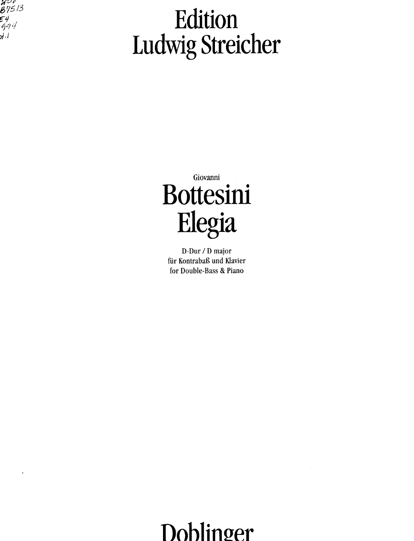200<br>B7513<br>54<br>994<br>1

## Edition Ludwig Streicher

Giovanni Bottesini Elegia

D-Dur / D major für Kontrabaß und Klavier for Double-Bass & Piano

Dohlinger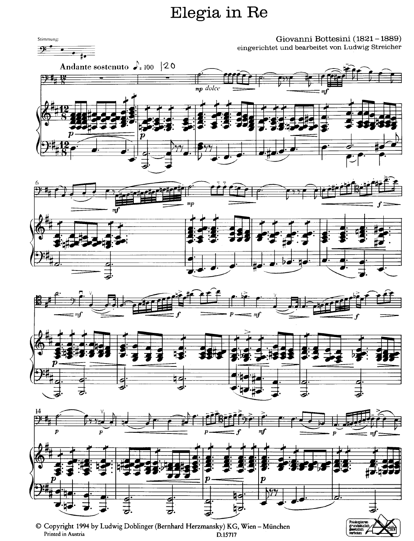## Elegia in Re